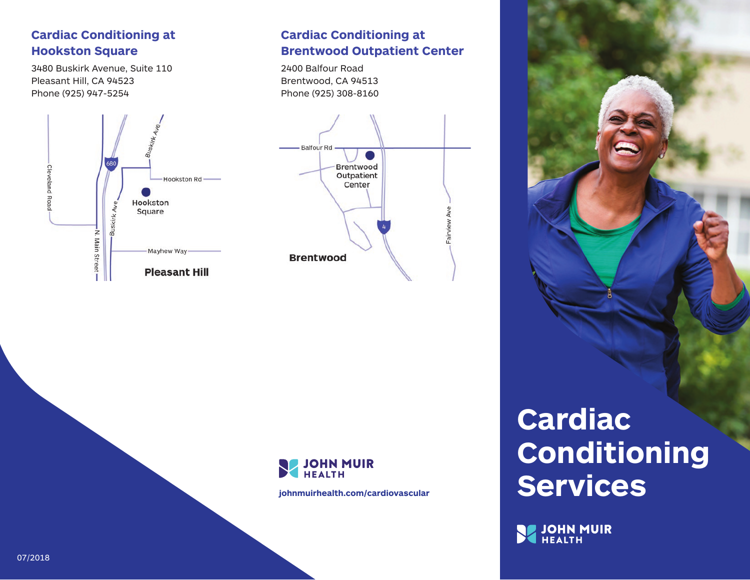### **Cardiac Conditioning at Hookston Square**

3480 Buskirk Avenue, Suite 110 Pleasant Hill, CA 94523 Phone (925) 947-5254



## **Cardiac Conditioning at Brentwood Outpatient Center**

2400 Balfour Road Brentwood, CA 94513 Phone (925) 308-8160





**johnmuirhealth.com/cardiovascular**

# **Cardiac Conditioning Services**

JOHN MUIR